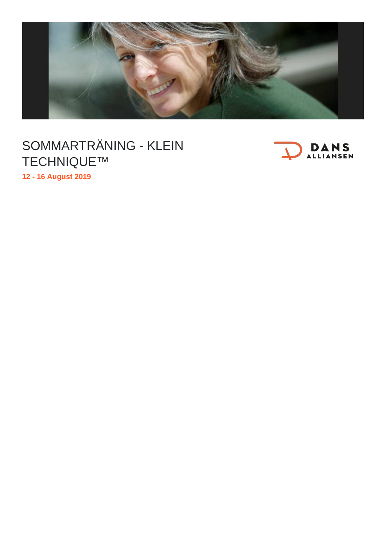

## SOMMARTRÄNING - KLEIN TECHNIQUE™



**12 - 16 August 2019**